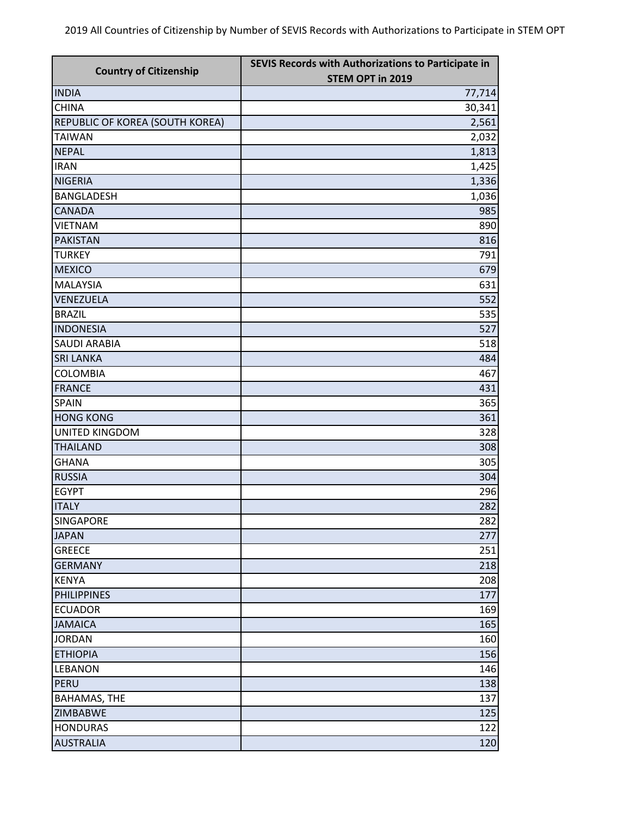| <b>Country of Citizenship</b>   | SEVIS Records with Authorizations to Participate in<br>STEM OPT in 2019 |
|---------------------------------|-------------------------------------------------------------------------|
| <b>INDIA</b>                    | 77,714                                                                  |
| <b>CHINA</b>                    | 30,341                                                                  |
| REPUBLIC OF KOREA (SOUTH KOREA) | 2,561                                                                   |
| <b>TAIWAN</b>                   | 2,032                                                                   |
| <b>NEPAL</b>                    | 1,813                                                                   |
| <b>IRAN</b>                     | 1,425                                                                   |
| <b>NIGERIA</b>                  | 1,336                                                                   |
| <b>BANGLADESH</b>               | 1,036                                                                   |
| <b>CANADA</b>                   | 985                                                                     |
| <b>VIETNAM</b>                  | 890                                                                     |
| <b>PAKISTAN</b>                 | 816                                                                     |
| <b>TURKEY</b>                   | 791                                                                     |
| <b>MEXICO</b>                   | 679                                                                     |
| <b>MALAYSIA</b>                 | 631                                                                     |
| VENEZUELA                       | 552                                                                     |
| <b>BRAZIL</b>                   | 535                                                                     |
| <b>INDONESIA</b>                | 527                                                                     |
| <b>SAUDI ARABIA</b>             | 518                                                                     |
| <b>SRI LANKA</b>                | 484                                                                     |
| <b>COLOMBIA</b>                 | 467                                                                     |
| <b>FRANCE</b>                   | 431                                                                     |
| <b>SPAIN</b>                    | 365                                                                     |
| <b>HONG KONG</b>                | 361                                                                     |
| <b>UNITED KINGDOM</b>           | 328                                                                     |
| <b>THAILAND</b>                 | 308                                                                     |
| <b>GHANA</b>                    | 305                                                                     |
| <b>RUSSIA</b>                   | 304                                                                     |
| <b>EGYPT</b>                    | 296                                                                     |
| <b>ITALY</b>                    | 282                                                                     |
| <b>SINGAPORE</b>                | 282                                                                     |
| <b>JAPAN</b>                    | 277                                                                     |
| <b>GREECE</b>                   | 251                                                                     |
| <b>GERMANY</b>                  | 218                                                                     |
| <b>KENYA</b>                    | 208                                                                     |
| <b>PHILIPPINES</b>              | 177                                                                     |
| <b>ECUADOR</b>                  | 169                                                                     |
| <b>JAMAICA</b>                  | 165                                                                     |
| <b>JORDAN</b>                   | 160                                                                     |
| <b>ETHIOPIA</b>                 | 156                                                                     |
| <b>LEBANON</b>                  | 146                                                                     |
| PERU                            | 138                                                                     |
| <b>BAHAMAS, THE</b>             | 137                                                                     |
| <b>ZIMBABWE</b>                 | 125                                                                     |
| <b>HONDURAS</b>                 | 122                                                                     |
| <b>AUSTRALIA</b>                | 120                                                                     |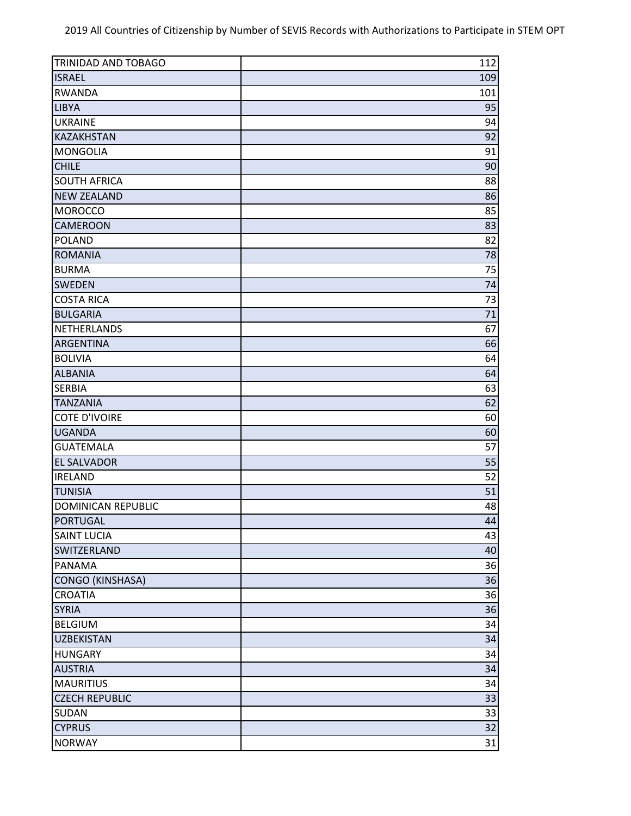| TRINIDAD AND TOBAGO       | 112 |
|---------------------------|-----|
| <b>ISRAEL</b>             | 109 |
| <b>RWANDA</b>             | 101 |
| <b>LIBYA</b>              | 95  |
| <b>UKRAINE</b>            | 94  |
| KAZAKHSTAN                | 92  |
| <b>MONGOLIA</b>           | 91  |
| <b>CHILE</b>              | 90  |
| <b>SOUTH AFRICA</b>       | 88  |
| <b>NEW ZEALAND</b>        | 86  |
| <b>MOROCCO</b>            | 85  |
| <b>CAMEROON</b>           | 83  |
| <b>POLAND</b>             | 82  |
| <b>ROMANIA</b>            | 78  |
| <b>BURMA</b>              | 75  |
| <b>SWEDEN</b>             | 74  |
| <b>COSTA RICA</b>         | 73  |
| <b>BULGARIA</b>           | 71  |
| <b>NETHERLANDS</b>        | 67  |
| ARGENTINA                 | 66  |
| <b>BOLIVIA</b>            | 64  |
| <b>ALBANIA</b>            | 64  |
| <b>SERBIA</b>             | 63  |
| <b>TANZANIA</b>           | 62  |
| <b>COTE D'IVOIRE</b>      | 60  |
| <b>UGANDA</b>             | 60  |
| <b>GUATEMALA</b>          | 57  |
| <b>EL SALVADOR</b>        | 55  |
| <b>IRELAND</b>            | 52  |
| <b>TUNISIA</b>            | 51  |
| <b>DOMINICAN REPUBLIC</b> | 48  |
| <b>PORTUGAL</b>           | 44  |
| <b>SAINT LUCIA</b>        | 43  |
| SWITZERLAND               | 40  |
| PANAMA                    | 36  |
| <b>CONGO (KINSHASA)</b>   | 36  |
| <b>CROATIA</b>            | 36  |
| <b>SYRIA</b>              | 36  |
| <b>BELGIUM</b>            | 34  |
| <b>UZBEKISTAN</b>         | 34  |
| <b>HUNGARY</b>            | 34  |
| <b>AUSTRIA</b>            | 34  |
| <b>MAURITIUS</b>          | 34  |
| <b>CZECH REPUBLIC</b>     | 33  |
| SUDAN                     | 33  |
| <b>CYPRUS</b>             | 32  |
| <b>NORWAY</b>             | 31  |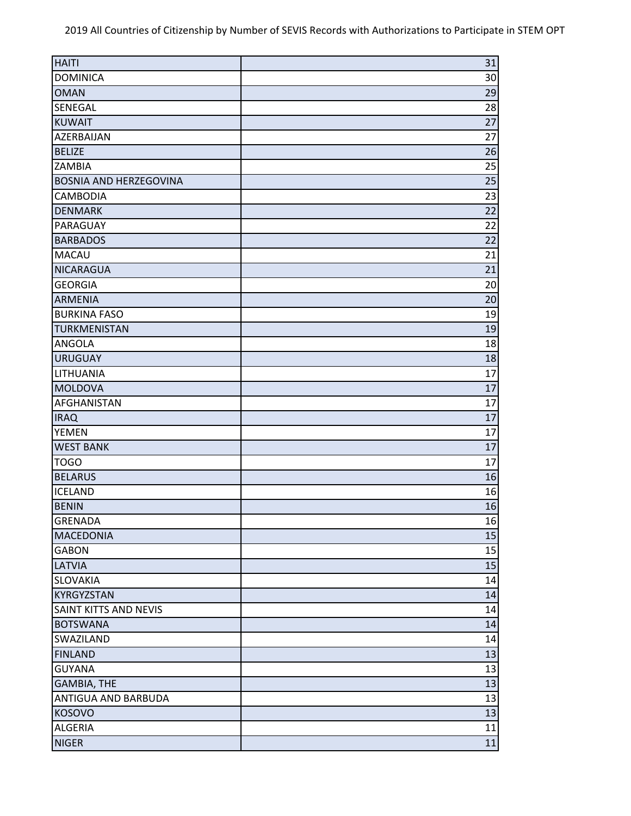| <b>HAITI</b>                  | 31 |
|-------------------------------|----|
| <b>DOMINICA</b>               | 30 |
| <b>OMAN</b>                   | 29 |
| SENEGAL                       | 28 |
| <b>KUWAIT</b>                 | 27 |
| AZERBAIJAN                    | 27 |
| <b>BELIZE</b>                 | 26 |
| <b>ZAMBIA</b>                 | 25 |
| <b>BOSNIA AND HERZEGOVINA</b> | 25 |
| CAMBODIA                      | 23 |
| <b>DENMARK</b>                | 22 |
| PARAGUAY                      | 22 |
| <b>BARBADOS</b>               | 22 |
| MACAU                         | 21 |
| <b>NICARAGUA</b>              | 21 |
| <b>GEORGIA</b>                | 20 |
| <b>ARMENIA</b>                | 20 |
| <b>BURKINA FASO</b>           | 19 |
| <b>TURKMENISTAN</b>           | 19 |
| ANGOLA                        | 18 |
| <b>URUGUAY</b>                | 18 |
| LITHUANIA                     | 17 |
| <b>MOLDOVA</b>                | 17 |
| AFGHANISTAN                   | 17 |
| <b>IRAQ</b>                   | 17 |
| <b>YEMEN</b>                  | 17 |
| <b>WEST BANK</b>              | 17 |
| <b>TOGO</b>                   | 17 |
| <b>BELARUS</b>                | 16 |
| <b>ICELAND</b>                | 16 |
| <b>BENIN</b>                  | 16 |
| GRENADA                       | 16 |
| <b>MACEDONIA</b>              | 15 |
| <b>GABON</b>                  | 15 |
| LATVIA                        | 15 |
| <b>SLOVAKIA</b>               | 14 |
| KYRGYZSTAN                    | 14 |
| SAINT KITTS AND NEVIS         | 14 |
| <b>BOTSWANA</b>               | 14 |
| SWAZILAND                     | 14 |
| <b>FINLAND</b>                | 13 |
| <b>GUYANA</b>                 | 13 |
| <b>GAMBIA, THE</b>            | 13 |
| ANTIGUA AND BARBUDA           | 13 |
| KOSOVO                        | 13 |
| <b>ALGERIA</b>                | 11 |
| <b>NIGER</b>                  | 11 |
|                               |    |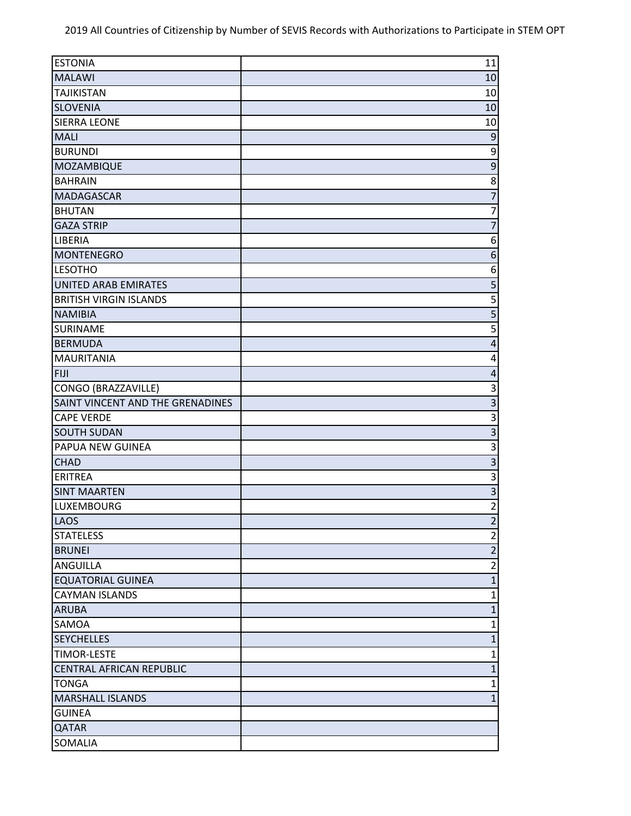| <b>ESTONIA</b>                   | 11                        |
|----------------------------------|---------------------------|
| <b>MALAWI</b>                    | 10                        |
| <b>TAJIKISTAN</b>                | 10                        |
| <b>SLOVENIA</b>                  | 10                        |
| <b>SIERRA LEONE</b>              | 10                        |
| <b>MALI</b>                      | 9                         |
| <b>BURUNDI</b>                   | 9                         |
| MOZAMBIQUE                       | $\mathsf 9$               |
| <b>BAHRAIN</b>                   | 8                         |
| <b>MADAGASCAR</b>                | $\overline{7}$            |
| <b>BHUTAN</b>                    | $\overline{7}$            |
| <b>GAZA STRIP</b>                | $\overline{7}$            |
| <b>LIBERIA</b>                   | 6                         |
| <b>MONTENEGRO</b>                | $\boldsymbol{6}$          |
| <b>LESOTHO</b>                   | 6                         |
| UNITED ARAB EMIRATES             | 5                         |
| <b>BRITISH VIRGIN ISLANDS</b>    | 5                         |
| <b>NAMIBIA</b>                   | 5                         |
| <b>SURINAME</b>                  | 5                         |
| <b>BERMUDA</b>                   | $\overline{4}$            |
| <b>MAURITANIA</b>                | 4                         |
| <b>FIJI</b>                      | $\overline{4}$            |
| CONGO (BRAZZAVILLE)              | 3                         |
| SAINT VINCENT AND THE GRENADINES | $\mathbf{3}$              |
| <b>CAPE VERDE</b>                | $\mathsf 3$               |
| <b>SOUTH SUDAN</b>               | $\overline{3}$            |
| PAPUA NEW GUINEA                 | $\mathsf 3$               |
| <b>CHAD</b>                      | $\overline{\mathbf{3}}$   |
| <b>ERITREA</b>                   | $\ensuremath{\mathsf{3}}$ |
| <b>SINT MAARTEN</b>              | $\overline{\mathbf{3}}$   |
| <b>LUXEMBOURG</b>                | $\overline{2}$            |
| LAOS                             | $\overline{2}$            |
| <b>STATELESS</b>                 | $\overline{2}$            |
| <b>BRUNEI</b>                    | $\overline{2}$            |
| ANGUILLA                         | $\overline{2}$            |
| <b>EQUATORIAL GUINEA</b>         | $\mathbf{1}$              |
| <b>CAYMAN ISLANDS</b>            | $\mathbf{1}$              |
| <b>ARUBA</b>                     | $\mathbf{1}$              |
| SAMOA                            | $\mathbf 1$               |
| <b>SEYCHELLES</b>                | $\mathbf{1}$              |
| <b>TIMOR-LESTE</b>               | 1                         |
| <b>CENTRAL AFRICAN REPUBLIC</b>  | $\mathbf{1}$              |
| <b>TONGA</b>                     | $\mathbf{1}$              |
| <b>MARSHALL ISLANDS</b>          | $\mathbf{1}$              |
| <b>GUINEA</b>                    |                           |
| <b>QATAR</b>                     |                           |
| <b>SOMALIA</b>                   |                           |